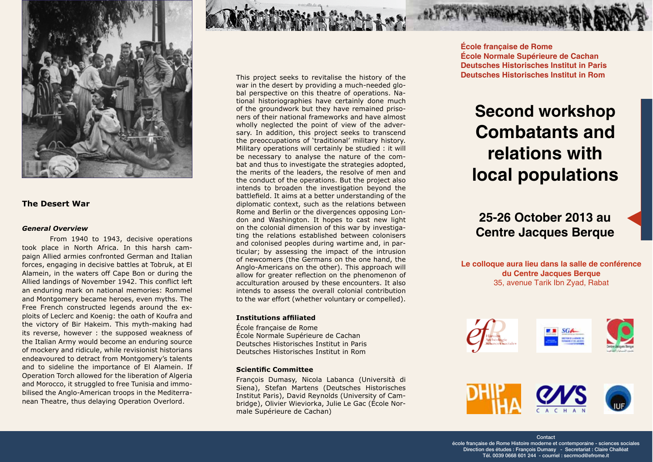

#### **The Desert War**

#### **General Overview**

From 1940 to 1943, decisive operations took place in North Africa. In this harsh campaign Allied armies confronted German and Italian forces, engaging in decisive battles at Tobruk, at El Alamein, in the waters off Cape Bon or during the Allied landings of November 1942. This conflict left an enduring mark on national memories: Rommel and Montgomery became heroes, even myths. The Free French constructed legends around the exploits of Leclerc and Koenig: the oath of Koufra and the victory of Bir Hakeim. This myth-making had its reverse, however : the supposed weakness of the Italian Army would become an enduring source of mockery and ridicule, while revisionist historians endeavoured to detract from Montgomery's talents and to sideline the importance of El Alamein. If Operation Torch allowed for the liberation of Algeria and Morocco, it struggled to free Tunisia and immobilised the Anglo-American troops in the Mediterranean Theatre, thus delaying Operation Overlord.

This project seeks to revitalise the history of the war in the desert by providing a much-needed global perspective on this theatre of operations. National historiographies have certainly done much of the groundwork but they have remained prisoners of their national frameworks and have almost wholly neglected the point of view of the adversary. In addition, this project seeks to transcend the preoccupations of 'traditional' military history. Military operations will certainly be studied : it will be necessary to analyse the nature of the combat and thus to investigate the strategies adopted. the merits of the leaders, the resolve of men and the conduct of the operations. But the project also intends to broaden the investigation beyond the battlefield. It aims at a better understanding of the diplomatic context, such as the relations between Rome and Berlin or the divergences opposing London and Washington. It hopes to cast new light on the colonial dimension of this war by investigating the relations established between colonisers and colonised peoples during wartime and, in particular; by assessing the impact of the intrusion of newcomers (the Germans on the one hand, the Anglo-Americans on the other). This approach will allow for greater reflection on the phenomenon of acculturation aroused by these encounters. It also intends to assess the overall colonial contribution to the war effort (whether voluntary or compelled).

#### **Institutions affiliated**

École française de Rome École Normale Supérieure de Cachan Deutsches Historisches Institut in Paris Deutsches Historisches Institut in Rom

#### **Scientific Committee**

François Dumasy, Nicola Labanca (Università di Siena), Stefan Martens (Deutsches Historisches Institut Paris), David Reynolds (University of Cambridge), Olivier Wieviorka, Julie Le Gac (École Normale Supérieure de Cachan)

**École francaise de Rome** École Normale Supérieure de Cachan **Deutsches Historisches Institut in Paris** Deutsches Historisches Institut in Rom

## **Second workshop Combatants and** relations with local populations

25-26 October 2013 au **Centre Jacques Berque** 

Le colloque aura lieu dans la salle de conférence du Centre Jacques Berque 35, avenue Tarik Ibn Zyad, Rabat